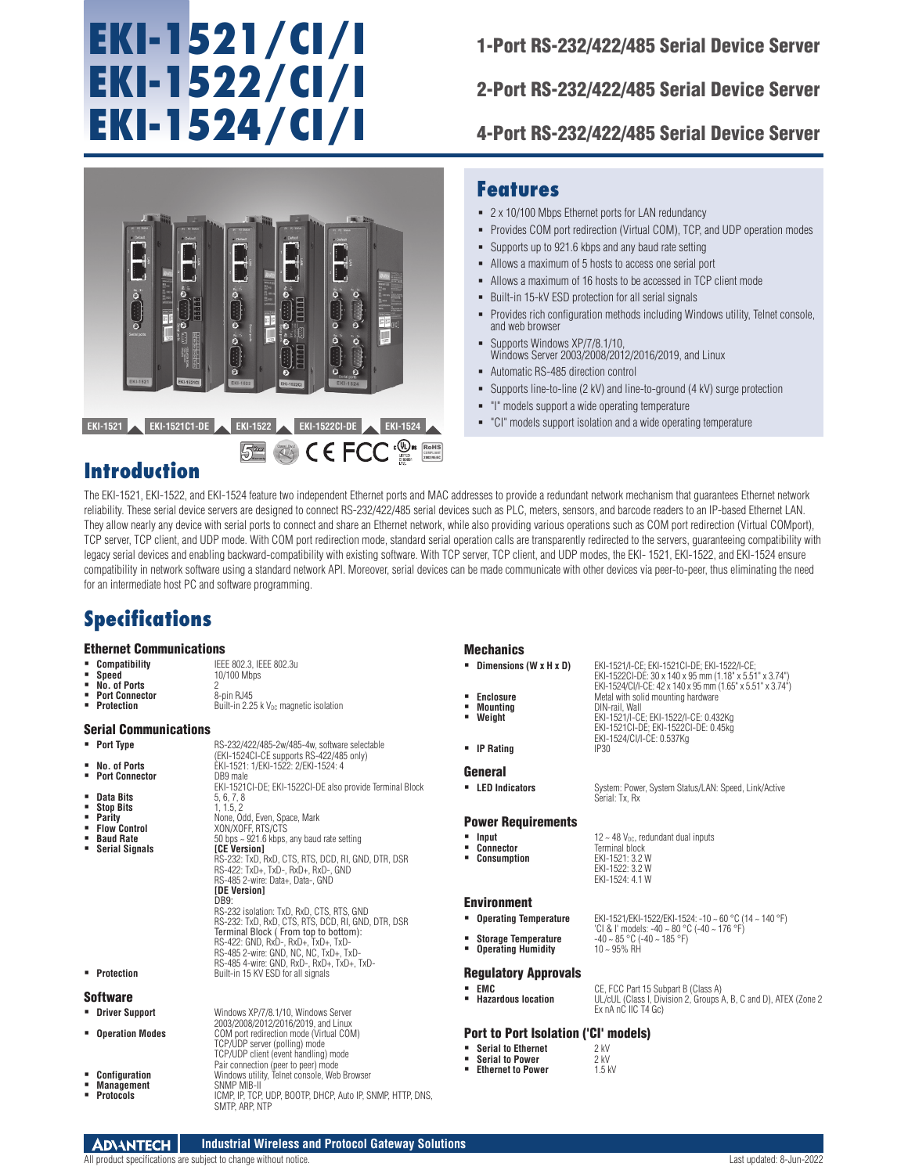# **EKI-1521/CI/I EKI-1522/CI/I EKI-1524/CI/I**

1-Port RS-232/422/485 Serial Device Server

2-Port RS-232/422/485 Serial Device Server

4-Port RS-232/422/485 Serial Device Server



### **Features**

- 2 x 10/100 Mbps Ethernet ports for LAN redundancy
- Provides COM port redirection (Virtual COM), TCP, and UDP operation modes
- Supports up to 921.6 kbps and any baud rate setting
- Allows a maximum of 5 hosts to access one serial port
- Allows a maximum of 16 hosts to be accessed in TCP client mode
- Built-in 15-kV ESD protection for all serial signals
- Provides rich configuration methods including Windows utility, Telnet console, and web browser
- Supports Windows XP/7/8.1/10, Windows Server 2003/2008/2012/2016/2019, and Linux
- Automatic RS-485 direction control
- Supports line-to-line (2 kV) and line-to-ground (4 kV) surge protection
- "I" models support a wide operating temperature
- "CI" models support isolation and a wide operating temperature

## **Introduction**

The EKI-1521, EKI-1522, and EKI-1524 feature two independent Ethernet ports and MAC addresses to provide a redundant network mechanism that guarantees Ethernet network reliability. These serial device servers are designed to connect RS-232/422/485 serial devices such as PLC, meters, sensors, and barcode readers to an IP-based Ethernet LAN. They allow nearly any device with serial ports to connect and share an Ethernet network, while also providing various operations such as COM port redirection (Virtual COMport), TCP server, TCP client, and UDP mode. With COM port redirection mode, standard serial operation calls are transparently redirected to the servers, guaranteeing compatibility with legacy serial devices and enabling backward-compatibility with existing software. With TCP server, TCP client, and UDP modes, the EKI- 1521, EKI-1522, and EKI-1524 ensure compatibility in network software using a standard network API. Moreover, serial devices can be made communicate with other devices via peer-to-peer, thus eliminating the need for an intermediate host PC and software programming.

## **Specifications**

### Ethernet Communications

| • Compatibility       | IEEE 802.3. IEEE 802.3u                            |
|-----------------------|----------------------------------------------------|
| <b>Speed</b>          | 10/100 Mbps                                        |
| No. of Ports          |                                                    |
| <b>Port Connector</b> | 8-pin RJ45                                         |
| <b>Protection</b>     | Built-in 2.25 k V <sub>nc</sub> mannetic isolation |

### Serial Communications

- 
- **Port Type** RS-232/422/485-2w/485-4w, software selectable<br>
(EKI-1524CI-CE supports RS-422/485 only)<br> **BALLEXENTERENT ERI-1521: 1/EKI-1522: 2/EKI-1524: 4**
- **Port Connector** DB9 male
- 
- 
- **Stop Bits<br>Parity**
- 
- **Serial Signals**
- **Data Bits** 5, 6, 7, 8<br>**Stop Bits** 1, 1.5, 2 **Parity** None, Odd, Even, Space, Mark **Flow Control** XON/XOFF, RTS/CTS **Baud Rate** 50 bps ~ 921.6 kbps, any baud rate setting RS-232: TxD, RxD, CTS, RTS, DCD, RI, GND, DTR, DSR RS-422: TxD+, TxD-, RxD+, RxD-, GND RS-485 2-wire: Data+, Data-, GND **[DE Version]** DB9: RS-232 isolation: TxD, RxD, CTS, RTS, GND RS-232: TxD, RxD, CTS, RTS, DCD, RI, GND, DTR, DSR Terminal Block ( From top to bottom): RS-422: GND, RxD-, RxD+, TxD+, TxD-RS-485 2-wire: GND, NC, NC, TxD+, TxD-RS-485 4-wire: GND, RxD-, RxD+, TxD+, TxD- **Protection** Built-in 15 KV ESD for all signals

EKI-1521CI-DE; EKI-1522CI-DE also provide Terminal Block

#### **Software**

| • Driver Support                               | Windows XP/7/8.1/10, Windows Server<br>2003/2008/2012/2016/2019, and Linux                                                                              |
|------------------------------------------------|---------------------------------------------------------------------------------------------------------------------------------------------------------|
| <b>• Operation Modes</b>                       | COM port redirection mode (Virtual COM)<br>TCP/UDP server (polling) mode<br>TCP/UDP client (event handling) mode<br>Pair connection (peer to peer) mode |
| • Configuration<br>• Management<br>• Protocols | Windows utility, Telnet console, Web Browser<br>SNMP MIB-II<br>ICMP, IP, TCP, UDP, BOOTP, DHCP, Auto IP, SNMP, HTTP, DNS,<br>SMTP. ARP. NTP             |

### **Mechanics**

- **Dimensions (W x H x D)** EKI-1521/I-CE; EKI-1521CI-DE; EKI-1522/I-CE;
- 
- **Mounting**<br>Weight
- 
- 

#### General

**LED Indicators** System: Power, System Status/LAN: Speed, Link/Active

#### Power Requirements

- 
- -

### Environment

- - Storage Temperature  $-40 \sim 85 \degree C (-40 \sim 185 \degree F)$ <br>**Operating Humidity**  $10 \sim 95\% \text{ RH}$
- **Operating Humidity**

#### Regulatory Approvals

 **EMC** CE, FCC Part 15 Subpart B (Class A) **Hazardous location** UL/cUL (Class I, Division 2, Groups A, B, C and D), ATEX (Zone 2 Ex nA nC IIC T4 Gc)

'CI & I' models: -40 ~ 80 °C (-40 ~ 176 °F)

### Port to Port Isolation ('CI' models)

- **Serial to Power**
- **Serial to Ethernet** 2 kV<br> **Serial to Power** 2 kV<br> **Ethernet to Power** 1.5 kV **Ethernet to Power**

EKI-1522CI-DE: 30 x 140 x 95 mm (1.18" x 5.51" x 3.74") EKI-1524/CI/I-CE: 42 x 140 x 95 mm (1.65" x 5.51" x 3.74") **Enclosure Metal with solid mounting hardware**<br> **Mounting Matter DIN-rail Wall Weight** EKI-1521/I-CE; EKI-1522/I-CE: 0.432Kg EKI-1521CI-DE; EKI-1522CI-DE: 0.45kg EKI-1524/CI/I-CE: 0.537Kg

**IP Rating IP30** 

- **Input**  $12 \sim 48$  V<sub>DC</sub>, redundant dual inputs<br> **Connector Example 1** Terminal block **Connector** Terminal block **Consumption** EKI-1521: 3.2 W
	- EKI-1522: 3.2 W EKI-1524: 4.1 W

,<br>erial: Tx, Rx

**Operating Temperature** EKI-1521/EKI-1522/EKI-1524: -10 ~ 60 °C (14 ~ 140 °F)